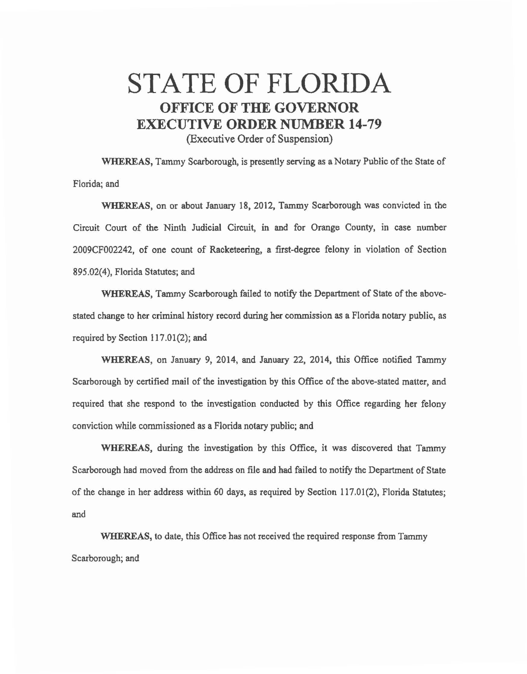## STATE OF FLORIDA OFFICE OF THE GOVERNOR EXECUTIVE ORDER NUMBER 14-79

(Executive Order of Suspension)

WHEREAS, Tammy Scarborough, is presently serving as a Notary Public of the State of Florida; and

WHEREAS, on or about January 18, 2012, Tammy Scarborough was convicted in the Circuit Court of the Ninth Judicial Circuit, in and for Orange County, in case number 2009CF002242, of one count of Racketeering, a first-degree felony in violation of Section 895.02(4), Florida Statutes; and

WHEREAS, Tammy Scarborough failed to notify the Department of State of the abovestated change to her criminal history record during her commission *as* a Florida notary public, as required by Section 117.01(2); and

WHEREAS, on January 9, 2014, and January 22, 2014, this Office notified Tammy Scarborough by certified mail of the investigation by this Office of the above-stated matter, and required that she respond to the investigation conducted by this Office regarding her felony conviction while commissioned as a Florida notary public; and

WHEREAS, during the investigation by this Office, it was discovered that Tammy Scarborough had moved from the address on file and had failed to notify the Department of State of the change in her address within 60 days, as required by Section 117.01 (2), Florida Statutes; and

WHEREAS, to date, this Office has not received the required response from Tammy Scarborough; and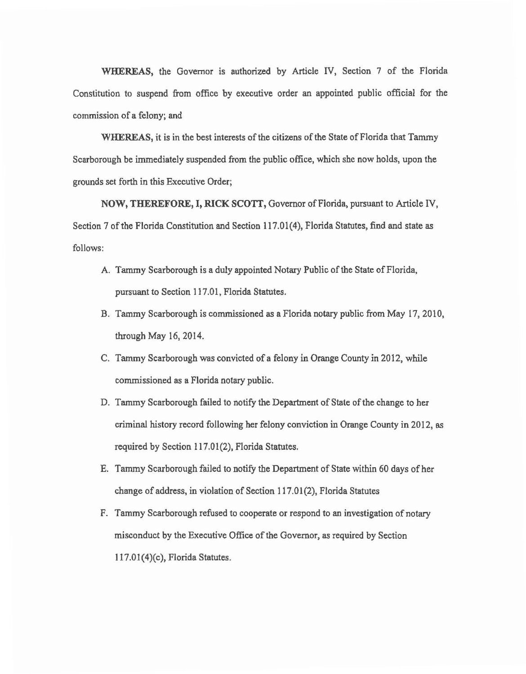WHEREAS, the Governor is authorized by Article IV, Section 7 of the Florida Constitution to suspend from office by executive order an appointed public official for the commission of a felony; and

WHEREAS, it is in the best interests of the citizens of the State of Florida that Tammy Scarborough be immediately suspended from the public office, which she now holds, upon the grounds set forth in this Executive Order;

NOW, THEREFORE, I, RICK SCOTI, Governor of Florida, pursuant to Article IV, Section 7 of the Florida Constitution and Section 117.01(4), Florida Statutes, find and state *as*  follows:

- A. Tammy Scarborough is a duly appointed Notary Public of the State of Florida, pursuant to Section 117.01, Florida Statutes.
- B. Tammy Scarborough is commissioned *as* a Florida notary public from May 17, 2010, through May 16, 2014.
- C. Tammy Scarborough was convicted of a felony in Orange County in 2012, while commissioned as a Florida notary public.
- D. Tammy Scarborough failed to notify the Department of State of the change to her criminal history record following her felony conviction in Orange County in 2012, as required by Section 117.01(2), Florida Statutes.
- E. Tammy Scarborough failed to notify the Department of State within 60 days of her change of address, in violation of Section 117. 01 (2), Florida Statutes
- F. Tammy Scarborough refused to cooperate or respond to an investigation of notary misconduct by the Executive Office of the Governor, *as* required by Section 117.01 (4)(c), Florida Statutes.